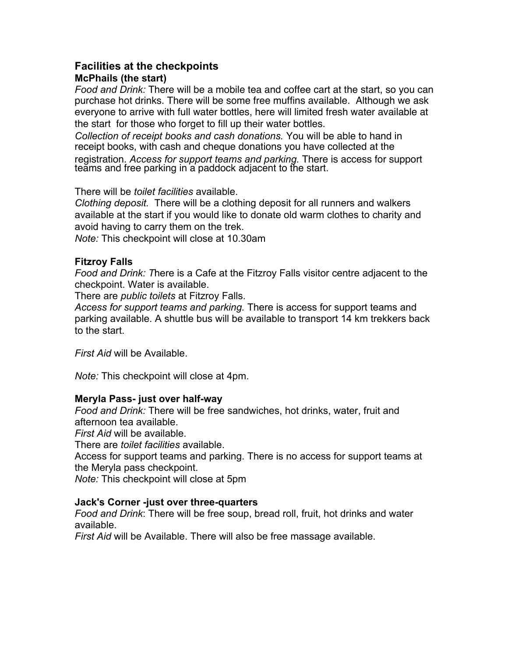# **Facilities at the checkpoints McPhails (the start)**

*Food and Drink:* There will be a mobile tea and coffee cart at the start, so you can purchase hot drinks. There will be some free muffins available. Although we ask everyone to arrive with full water bottles, here will limited fresh water available at the start for those who forget to fill up their water bottles.

*Collection of receipt books and cash donations.* You will be able to hand in receipt books, with cash and cheque donations you have collected at the

registration. *Access for support teams and parking.* There is access for support teăms and free parking in a paddock adjacent to the start.

There will be *toilet facilities* available.

*Clothing deposit.* There will be a clothing deposit for all runners and walkers available at the start if you would like to donate old warm clothes to charity and avoid having to carry them on the trek.

*Note:* This checkpoint will close at 10.30am

## **Fitzroy Falls**

*Food and Drink: T*here is a Cafe at the Fitzroy Falls visitor centre adjacent to the checkpoint. Water is available.

There are *public toilets* at Fitzroy Falls.

*Access for support teams and parking.* There is access for support teams and parking available. A shuttle bus will be available to transport 14 km trekkers back to the start.

*First Aid* will be Available.

*Note:* This checkpoint will close at 4pm.

## **Meryla Pass- just over half-way**

*Food and Drink:* There will be free sandwiches, hot drinks, water, fruit and afternoon tea available.

*First Aid* will be available.

There are *toilet facilities* available.

Access for support teams and parking. There is no access for support teams at the Meryla pass checkpoint.

*Note:* This checkpoint will close at 5pm

## **Jack's Corner -just over three-quarters**

*Food and Drink*: There will be free soup, bread roll, fruit, hot drinks and water available.

*First Aid* will be Available. There will also be free massage available.